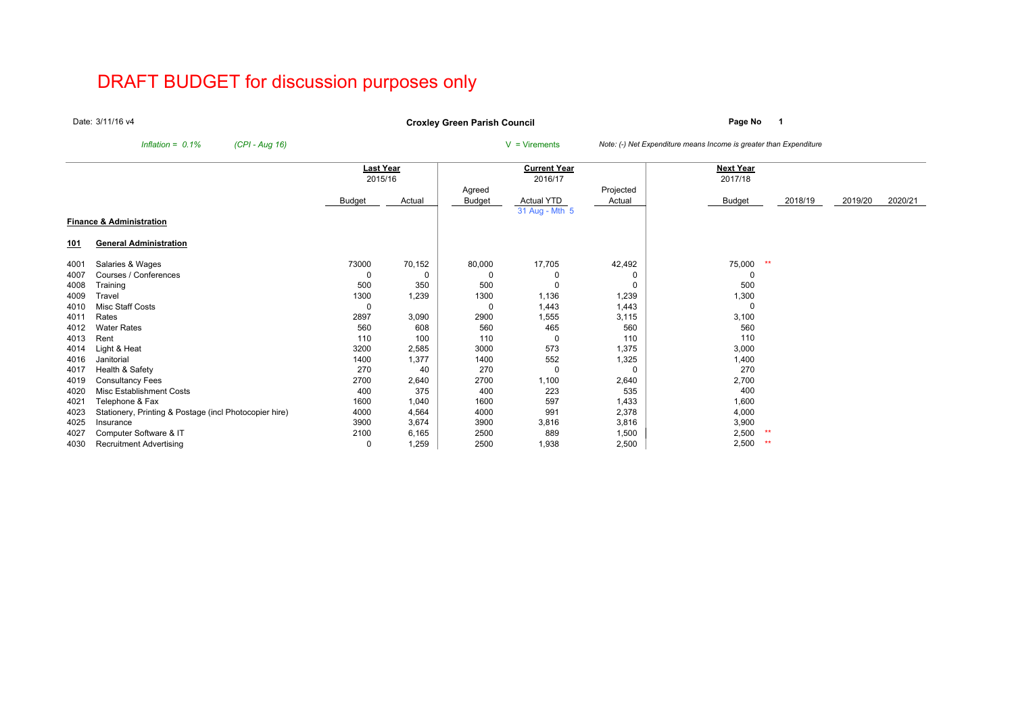# DRAFT BUDGET for discussion purposes only

Date:3/11/16 v4

**Page No <sup>1</sup> Croxley Green Parish Council**

*Inflation = 0.1% (CPI - Aug 16)* <sup>V</sup> = Virements *Note: (-) Net Expenditure means Income is greater than Expenditure*

|            |                                                        | Last Year |        |        | <b>Current Year</b> |                     | <b>Next Year</b> |         |         |         |
|------------|--------------------------------------------------------|-----------|--------|--------|---------------------|---------------------|------------------|---------|---------|---------|
|            |                                                        | 2015/16   |        |        | 2016/17             |                     | 2017/18          |         |         |         |
|            |                                                        |           | Actual | Agreed | Actual YTD          | Projected<br>Actual |                  | 2018/19 | 2019/20 | 2020/21 |
|            |                                                        | Budget    |        | Budget | 31 Aug - Mth 5      |                     | <b>Budget</b>    |         |         |         |
|            | <b>Finance &amp; Administration</b>                    |           |        |        |                     |                     |                  |         |         |         |
| <u>101</u> | <b>General Administration</b>                          |           |        |        |                     |                     |                  |         |         |         |
| 4001       | Salaries & Wages                                       | 73000     | 70,152 | 80,000 | 17,705              | 42,492              | 75,000<br>$*$    |         |         |         |
| 4007       | Courses / Conferences                                  | 0         | 0      | 0      | 0                   | 0                   | 0                |         |         |         |
| 4008       | Training                                               | 500       | 350    | 500    | $\Omega$            | $\Omega$            | 500              |         |         |         |
| 4009       | Travel                                                 | 1300      | 1,239  | 1300   | 1,136               | 1,239               | 1,300            |         |         |         |
| 4010       | <b>Misc Staff Costs</b>                                | 0         |        | 0      | 1,443               | 1,443               | 0                |         |         |         |
| 4011       | Rates                                                  | 2897      | 3,090  | 2900   | 1,555               | 3,115               | 3,100            |         |         |         |
| 4012       | <b>Water Rates</b>                                     | 560       | 608    | 560    | 465                 | 560                 | 560              |         |         |         |
| 4013       | Rent                                                   | 110       | 100    | 110    | 0                   | 110                 | 110              |         |         |         |
| 4014       | Light & Heat                                           | 3200      | 2,585  | 3000   | 573                 | 1,375               | 3,000            |         |         |         |
| 4016       | Janitorial                                             | 1400      | 1,377  | 1400   | 552                 | 1,325               | 1,400            |         |         |         |
| 4017       | Health & Safety                                        | 270       | 40     | 270    | 0                   | $\Omega$            | 270              |         |         |         |
| 4019       | <b>Consultancy Fees</b>                                | 2700      | 2,640  | 2700   | 1,100               | 2,640               | 2,700            |         |         |         |
| 4020       | Misc Establishment Costs                               | 400       | 375    | 400    | 223                 | 535                 | 400              |         |         |         |
| 4021       | Telephone & Fax                                        | 1600      | 1,040  | 1600   | 597                 | 1,433               | 1,600            |         |         |         |
| 4023       | Stationery, Printing & Postage (incl Photocopier hire) | 4000      | 4,564  | 4000   | 991                 | 2,378               | 4,000            |         |         |         |
| 4025       | Insurance                                              | 3900      | 3,674  | 3900   | 3,816               | 3,816               | 3,900            |         |         |         |
| 4027       | Computer Software & IT                                 | 2100      | 6,165  | 2500   | 889                 | 1,500               | **<br>2,500      |         |         |         |
| 4030       | <b>Recruitment Advertising</b>                         | 0         | 1,259  | 2500   | 1,938               | 2,500               | 2,500<br>**      |         |         |         |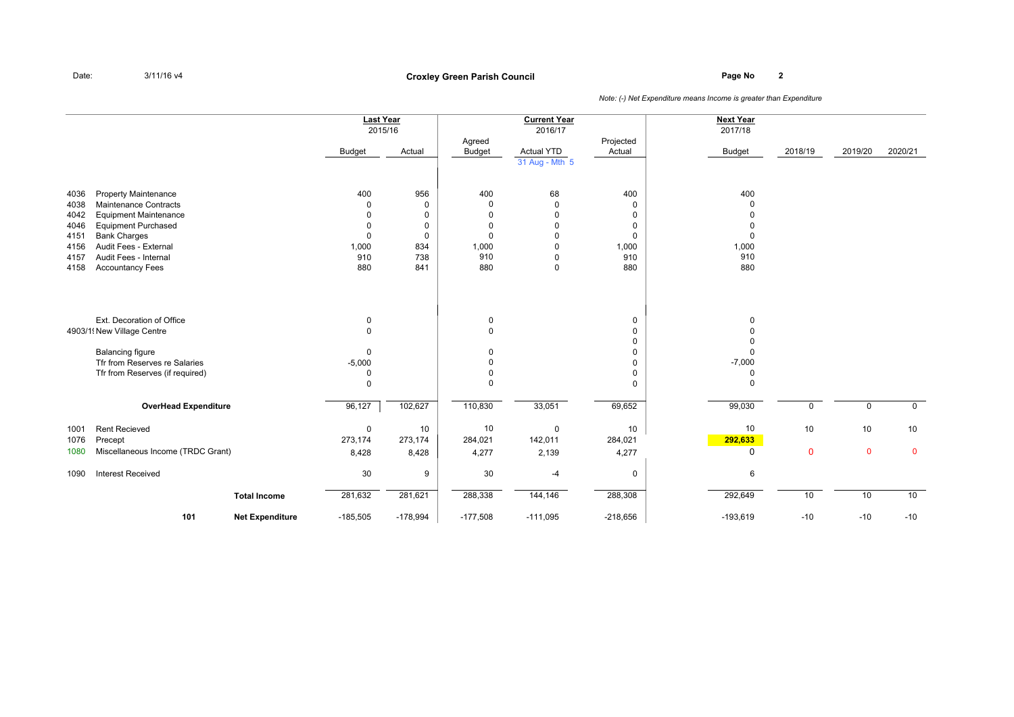# **Page No <sup>2</sup> Croxley Green Parish Council**

|                                                                                                                                                                                                                                                                                               |                             |                        | <b>Last Year</b><br>2015/16<br>Budget                                             | Actual                                                 | Agreed<br>Budget                                      | <b>Current Year</b><br>2016/17<br>Actual YTD<br>31 Aug - Mth 5                                    | Projected<br>Actual                                                           | <b>Next Year</b><br>2017/18<br><b>Budget</b>       | 2018/19            | 2019/20           | 2020/21           |
|-----------------------------------------------------------------------------------------------------------------------------------------------------------------------------------------------------------------------------------------------------------------------------------------------|-----------------------------|------------------------|-----------------------------------------------------------------------------------|--------------------------------------------------------|-------------------------------------------------------|---------------------------------------------------------------------------------------------------|-------------------------------------------------------------------------------|----------------------------------------------------|--------------------|-------------------|-------------------|
| <b>Property Maintenance</b><br>4036<br><b>Maintenance Contracts</b><br>4038<br><b>Equipment Maintenance</b><br>4042<br><b>Equipment Purchased</b><br>4046<br><b>Bank Charges</b><br>4151<br>Audit Fees - External<br>4156<br>Audit Fees - Internal<br>4157<br><b>Accountancy Fees</b><br>4158 |                             |                        | 400<br>$\Omega$<br>$\Omega$<br>$\mathbf 0$<br>$\mathbf 0$<br>1,000<br>910<br>880  | 956<br>0<br>$\mathbf 0$<br>0<br>0<br>834<br>738<br>841 | 400<br>$\Omega$<br>0<br>0<br>0<br>1,000<br>910<br>880 | 68<br>$\overline{0}$<br>$\mathbf 0$<br>$\mathbf 0$<br>$\Omega$<br>$\mathbf 0$<br>0<br>$\mathbf 0$ | 400<br>$\Omega$<br>$\Omega$<br>$\Omega$<br>$\mathbf 0$<br>1,000<br>910<br>880 | 400<br>$\Omega$<br>$\Omega$<br>1,000<br>910<br>880 |                    |                   |                   |
| Ext. Decoration of Office<br>4903/1 New Village Centre<br><b>Balancing figure</b><br>Tfr from Reserves re Salaries<br>Tfr from Reserves (if required)                                                                                                                                         |                             |                        | $\mathbf 0$<br>$\pmb{0}$<br>$\mathbf 0$<br>$-5,000$<br>$\mathbf 0$<br>$\mathbf 0$ |                                                        | 0<br>0<br>0<br>$\Omega$<br>$\Omega$<br>$\Omega$       |                                                                                                   | 0<br>$\Omega$<br>$\Omega$<br>0<br>$\Omega$<br>0<br>$\Omega$                   | $\Omega$<br>$-7,000$<br>$\Omega$<br>$\Omega$       |                    |                   |                   |
|                                                                                                                                                                                                                                                                                               | <b>OverHead Expenditure</b> |                        | 96,127                                                                            | 102,627                                                | 110,830                                               | 33,051                                                                                            | 69,652                                                                        | 99,030                                             | 0                  | $\mathbf 0$       | $\mathbf 0$       |
| <b>Rent Recieved</b><br>1001<br>1076<br>Precept<br>Miscellaneous Income (TRDC Grant)<br>1080                                                                                                                                                                                                  |                             |                        | $\mathbf 0$<br>273,174<br>8,428                                                   | 10<br>273,174<br>8,428                                 | 10<br>284,021<br>4,277                                | $\mathbf 0$<br>142,011<br>2,139                                                                   | 10<br>284,021<br>4,277                                                        | 10<br>292,633<br>0                                 | 10<br>$\mathbf{0}$ | 10<br>$\mathbf 0$ | 10<br>$\mathbf 0$ |
| <b>Interest Received</b><br>1090                                                                                                                                                                                                                                                              |                             |                        | 30                                                                                | 9                                                      | 30                                                    | $-4$                                                                                              | 0                                                                             | 6                                                  |                    |                   |                   |
|                                                                                                                                                                                                                                                                                               |                             | <b>Total Income</b>    | 281,632                                                                           | 281,621                                                | 288,338                                               | 144,146                                                                                           | 288,308                                                                       | 292,649                                            | 10                 | 10                | 10<br>$-10$       |
|                                                                                                                                                                                                                                                                                               | 101                         | <b>Net Expenditure</b> | $-185,505$                                                                        | $-178,994$                                             | $-177,508$                                            | $-111,095$                                                                                        | $-218,656$                                                                    | $-193,619$                                         | $-10$              | $-10$             |                   |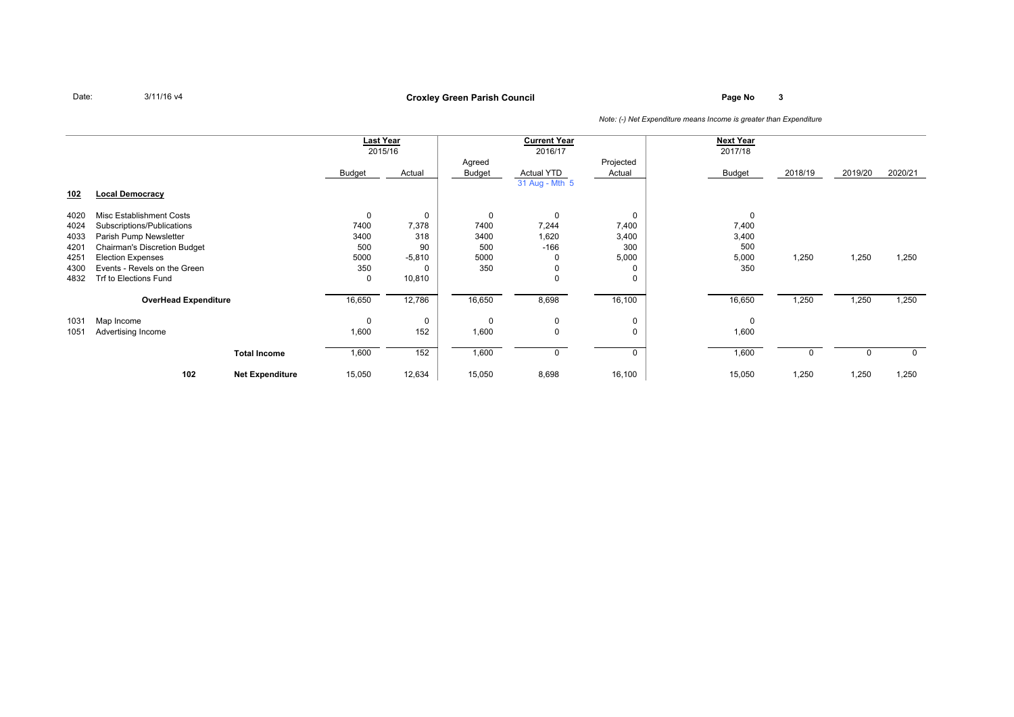### **Page No <sup>3</sup> Croxley Green Parish Council**

|            |                                     |                        |             | <b>Last Year</b> |          | <b>Current Year</b> |           | <b>Next Year</b> |         |         |         |
|------------|-------------------------------------|------------------------|-------------|------------------|----------|---------------------|-----------|------------------|---------|---------|---------|
|            |                                     |                        |             | 2015/16          |          | 2016/17             |           | 2017/18          |         |         |         |
|            |                                     |                        |             |                  | Agreed   |                     | Projected |                  |         |         |         |
|            |                                     |                        | Budget      | Actual           | Budget   | Actual YTD          | Actual    | <b>Budget</b>    | 2018/19 | 2019/20 | 2020/21 |
|            |                                     |                        |             |                  |          | 31 Aug - Mth 5      |           |                  |         |         |         |
| <u>102</u> | <b>Local Democracy</b>              |                        |             |                  |          |                     |           |                  |         |         |         |
|            | Misc Establishment Costs            |                        | $\mathbf 0$ |                  | 0        | $\mathbf 0$         | $\Omega$  |                  |         |         |         |
| 4020       | Subscriptions/Publications          |                        | 7400        | 0                | 7400     | 7,244               | 7,400     | 0                |         |         |         |
| 4024       |                                     |                        |             | 7,378            |          |                     |           | 7,400            |         |         |         |
| 4033       | Parish Pump Newsletter              |                        | 3400        | 318              | 3400     | 1,620               | 3,400     | 3,400            |         |         |         |
| 4201       | <b>Chairman's Discretion Budget</b> |                        | 500         | 90               | 500      | $-166$              | 300       | 500              |         |         |         |
| 4251       | <b>Election Expenses</b>            |                        | 5000        | $-5,810$         | 5000     | 0                   | 5,000     | 5,000            | 1,250   | 1,250   | 1,250   |
| 4300       | Events - Revels on the Green        |                        | 350         |                  | 350      | 0                   |           | 350              |         |         |         |
| 4832       | Trf to Elections Fund               |                        | 0           | 10,810           |          | $\Omega$            |           |                  |         |         |         |
|            | <b>OverHead Expenditure</b>         |                        | 16,650      | 12,786           | 16,650   | 8,698               | 16,100    | 16,650           | 1,250   | 1,250   | 1,250   |
|            |                                     |                        |             |                  |          |                     |           |                  |         |         |         |
| 1031       | Map Income                          |                        | $\mathbf 0$ | 0                | $\Omega$ | 0                   | 0         | 0                |         |         |         |
| 1051       | Advertising Income                  |                        | 1,600       | 152              | 1,600    | $\mathbf 0$         | $\Omega$  | 1,600            |         |         |         |
|            |                                     |                        |             |                  |          |                     |           |                  |         |         |         |
|            |                                     | <b>Total Income</b>    | 1,600       | 152              | 1,600    |                     | 0         | 1,600            |         |         |         |
|            | 102                                 | <b>Net Expenditure</b> | 15,050      | 12,634           | 15,050   | 8,698               | 16,100    | 15,050           | 1,250   | 1,250   | 1,250   |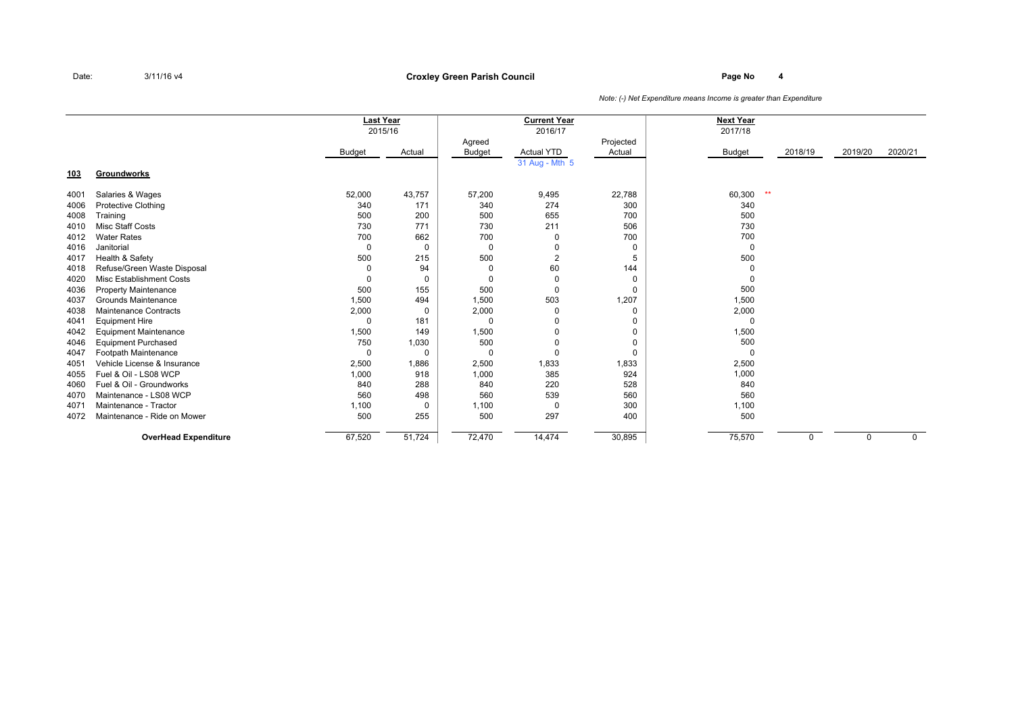### **Page No <sup>4</sup> Croxley Green Parish Council**

|            |                                 | <b>Last Year</b><br>2015/16 |          |               | <b>Current Year</b><br>2016/17 |           | <b>Next Year</b><br>2017/18 |         |         |             |
|------------|---------------------------------|-----------------------------|----------|---------------|--------------------------------|-----------|-----------------------------|---------|---------|-------------|
|            |                                 |                             |          | Agreed        |                                | Projected |                             |         |         |             |
|            |                                 | <b>Budget</b>               | Actual   | <b>Budget</b> | <b>Actual YTD</b>              | Actual    | Budget                      | 2018/19 | 2019/20 | 2020/21     |
|            |                                 |                             |          |               | 31 Aug - Mth 5                 |           |                             |         |         |             |
| <u>103</u> | Groundworks                     |                             |          |               |                                |           |                             |         |         |             |
| 4001       | Salaries & Wages                | 52,000                      | 43,757   | 57,200        | 9,495                          | 22,788    | $**$<br>60,300              |         |         |             |
| 4006       | <b>Protective Clothing</b>      | 340                         | 171      | 340           | 274                            | 300       | 340                         |         |         |             |
| 4008       | Training                        | 500                         | 200      | 500           | 655                            | 700       | 500                         |         |         |             |
| 4010       | <b>Misc Staff Costs</b>         | 730                         | 771      | 730           | 211                            | 506       | 730                         |         |         |             |
| 4012       | <b>Water Rates</b>              | 700                         | 662      | 700           | 0                              | 700       | 700                         |         |         |             |
| 4016       | Janitorial                      | $\mathbf 0$                 | $\Omega$ | 0             | 0                              | 0         | 0                           |         |         |             |
| 4017       | Health & Safety                 | 500                         | 215      | 500           | $\overline{2}$                 | 5         | 500                         |         |         |             |
| 4018       | Refuse/Green Waste Disposal     | $\Omega$                    | 94       | $\mathbf 0$   | 60                             | 144       |                             |         |         |             |
| 4020       | <b>Misc Establishment Costs</b> | $\mathbf 0$                 | $\Omega$ | 0             | $\mathbf 0$                    | 0         | 0                           |         |         |             |
| 4036       | <b>Property Maintenance</b>     | 500                         | 155      | 500           | $\Omega$                       | 0         | 500                         |         |         |             |
| 4037       | Grounds Maintenance             | 1,500                       | 494      | 1,500         | 503                            | 1,207     | 1,500                       |         |         |             |
| 4038       | <b>Maintenance Contracts</b>    | 2,000                       | $\Omega$ | 2,000         | 0                              | 0         | 2,000                       |         |         |             |
| 4041       | <b>Equipment Hire</b>           | $\Omega$                    | 181      | $\Omega$      | 0                              | 0         | $\Omega$                    |         |         |             |
| 4042       | <b>Equipment Maintenance</b>    | 1,500                       | 149      | 1,500         | 0                              | 0         | 1,500                       |         |         |             |
| 4046       | <b>Equipment Purchased</b>      | 750                         | 1,030    | 500           | 0                              | 0         | 500                         |         |         |             |
| 4047       | Footpath Maintenance            | 0                           | $\Omega$ | 0             | $\Omega$                       | 0         | $\Omega$                    |         |         |             |
| 4051       | Vehicle License & Insurance     | 2,500                       | 1,886    | 2,500         | 1,833                          | 1,833     | 2,500                       |         |         |             |
| 4055       | Fuel & Oil - LS08 WCP           | 1,000                       | 918      | 1,000         | 385                            | 924       | 1,000                       |         |         |             |
| 4060       | Fuel & Oil - Groundworks        | 840                         | 288      | 840           | 220                            | 528       | 840                         |         |         |             |
| 4070       | Maintenance - LS08 WCP          | 560                         | 498      | 560           | 539                            | 560       | 560                         |         |         |             |
| 4071       | Maintenance - Tractor           | 1,100                       | $\Omega$ | 1,100         | 0                              | 300       | 1,100                       |         |         |             |
| 4072       | Maintenance - Ride on Mower     | 500                         | 255      | 500           | 297                            | 400       | 500                         |         |         |             |
|            | <b>OverHead Expenditure</b>     | 67,520                      | 51,724   | 72,470        | 14,474                         | 30,895    | 75,570                      | 0       | 0       | $\mathbf 0$ |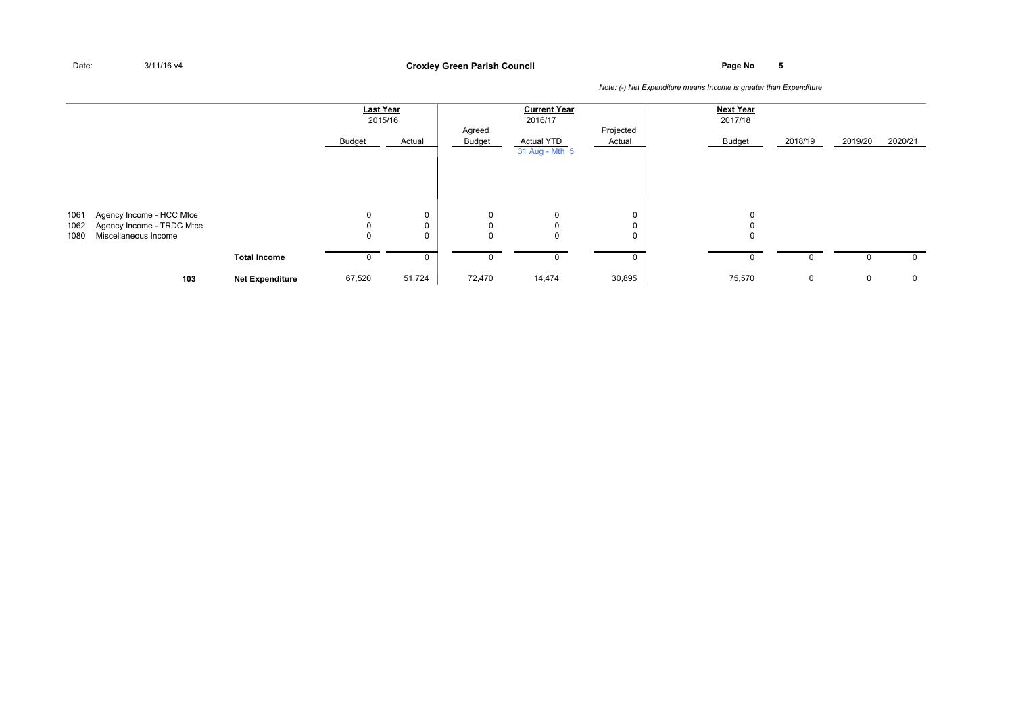### **Page No <sup>5</sup> Croxley Green Parish Council**

|              |                                                                               |                        | <b>Last Year</b> | 2015/16 |                                 | <b>Current Year</b><br>2016/17      |                     | <b>Next Year</b><br>2017/18 |         |         |             |
|--------------|-------------------------------------------------------------------------------|------------------------|------------------|---------|---------------------------------|-------------------------------------|---------------------|-----------------------------|---------|---------|-------------|
|              |                                                                               |                        | Budget           | Actual  | Agreed<br>Budget                | <b>Actual YTD</b><br>31 Aug - Mth 5 | Projected<br>Actual | Budget                      | 2018/19 | 2019/20 | 2020/21     |
|              |                                                                               |                        |                  |         |                                 |                                     |                     |                             |         |         |             |
| 1061<br>1062 | Agency Income - HCC Mtce<br>Agency Income - TRDC Mtce<br>Miscellaneous Income |                        | 0<br>0           | 0<br>0  | 0<br>$\mathbf 0$<br>$\mathbf 0$ | 0<br>$\mathbf 0$                    | 0<br>0              | 0<br>$\Omega$<br>0          |         |         |             |
| 1080         |                                                                               | <b>Total Income</b>    | 0<br>0           | 0<br>0  | 0                               | 0<br>$\mathbf 0$                    | 0<br>0              | 0                           | 0       | 0       | 0           |
|              | 103                                                                           | <b>Net Expenditure</b> | 67,520           | 51,724  | 72,470                          | 14,474                              | 30,895              | 75,570                      | 0       | 0       | $\mathbf 0$ |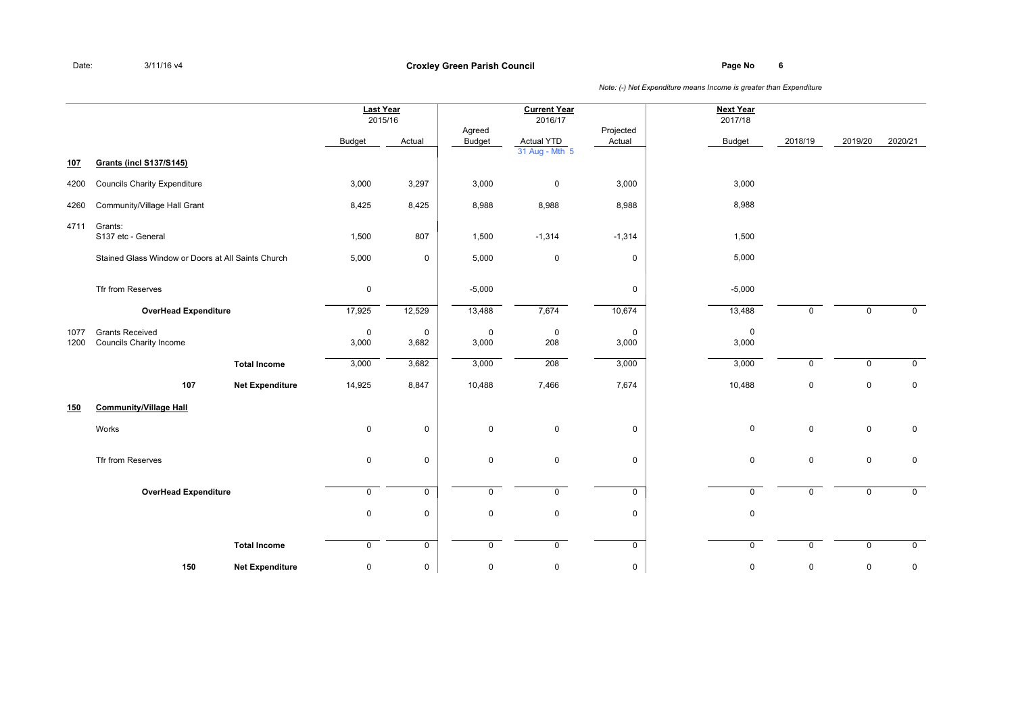**Page No <sup>6</sup> Croxley Green Parish Council**

|              |                                                          |                        | <b>Last Year</b>     | 2015/16                 |                         | <b>Current Year</b><br>2016/17 |                      | <b>Next Year</b><br>2017/18 |             |                |             |
|--------------|----------------------------------------------------------|------------------------|----------------------|-------------------------|-------------------------|--------------------------------|----------------------|-----------------------------|-------------|----------------|-------------|
|              |                                                          |                        | <b>Budget</b>        | Actual                  | Agreed<br><b>Budget</b> | Actual YTD                     | Projected<br>Actual  | <b>Budget</b>               | 2018/19     | 2019/20        | 2020/21     |
| 107          | <b>Grants (incl S137/S145)</b>                           |                        |                      |                         |                         | 31 Aug - Mth 5                 |                      |                             |             |                |             |
| 4200         | <b>Councils Charity Expenditure</b>                      |                        | 3,000                | 3,297                   | 3,000                   | $\mathbf 0$                    | 3,000                | 3,000                       |             |                |             |
| 4260         | Community/Village Hall Grant                             |                        | 8,425                | 8,425                   | 8,988                   | 8,988                          | 8,988                | 8,988                       |             |                |             |
| 4711         | Grants:<br>S137 etc - General                            |                        | 1,500                | 807                     | 1,500                   | $-1,314$                       | $-1,314$             | 1,500                       |             |                |             |
|              | Stained Glass Window or Doors at All Saints Church       |                        | 5,000                | 0                       | 5,000                   | $\mathbf 0$                    | 0                    | 5,000                       |             |                |             |
|              | Tfr from Reserves                                        |                        | $\mathsf 0$          |                         | $-5,000$                |                                | 0                    | $-5,000$                    |             |                |             |
|              | <b>OverHead Expenditure</b>                              |                        | 17,925               | 12,529                  | 13,488                  | 7,674                          | 10,674               | 13,488                      | $\mathbf 0$ | $\mathbf 0$    | $\mathbf 0$ |
| 1077<br>1200 | <b>Grants Received</b><br><b>Councils Charity Income</b> |                        | $\mathbf 0$<br>3,000 | $\pmb{0}$<br>3,682      | $\mathbf 0$<br>3,000    | $\pmb{0}$<br>208               | $\mathsf 0$<br>3,000 | $\pmb{0}$<br>3,000          |             |                |             |
|              |                                                          | <b>Total Income</b>    | 3,000                | 3,682                   | 3,000                   | 208                            | 3,000                | 3,000                       | $\Omega$    | $\overline{0}$ | $\mathbf 0$ |
|              | 107                                                      | <b>Net Expenditure</b> | 14,925               | 8,847                   | 10,488                  | 7,466                          | 7,674                | 10,488                      | $\mathbf 0$ | $\mathbf 0$    | $\mathbf 0$ |
| 150          | <b>Community/Village Hall</b>                            |                        |                      |                         |                         |                                |                      |                             |             |                |             |
|              | Works                                                    |                        | $\mathbf 0$          | 0                       | $\mathbf 0$             | $\mathbf 0$                    | 0                    | $\mathbf 0$                 | $\mathbf 0$ | $\mathbf 0$    | $\mathbf 0$ |
|              | Tfr from Reserves                                        |                        | $\mathbf 0$          | 0                       | $\mathbf 0$             | $\mathbf 0$                    | $\mathbf 0$          | $\mathbf 0$                 | $\mathbf 0$ | $\mathbf 0$    | $\mathbf 0$ |
|              | <b>OverHead Expenditure</b>                              |                        | $\mathbf 0$          | $\mathsf{O}\phantom{0}$ | $\mathbf 0$             | $\mathbf 0$                    | $\mathbf 0$          | $\mathbf 0$                 | $\mathbf 0$ | $\mathbf 0$    | $\mathbf 0$ |
|              |                                                          |                        | $\mathbf 0$          | 0                       | $\mathbf 0$             | $\mathbf 0$                    | 0                    | $\mathbf 0$                 |             |                |             |
|              |                                                          | <b>Total Income</b>    | $\mathbf 0$          | $\mathbf 0$             | $\mathbf 0$             | $\mathbf 0$                    | $\mathbf 0$          | $\mathbf 0$                 | $\mathbf 0$ | $\mathbf 0$    | $\mathbf 0$ |
|              | 150                                                      | <b>Net Expenditure</b> | $\pmb{0}$            | 0                       | 0                       | $\pmb{0}$                      | 0                    | $\pmb{0}$                   | 0           | $\mathbf 0$    | 0           |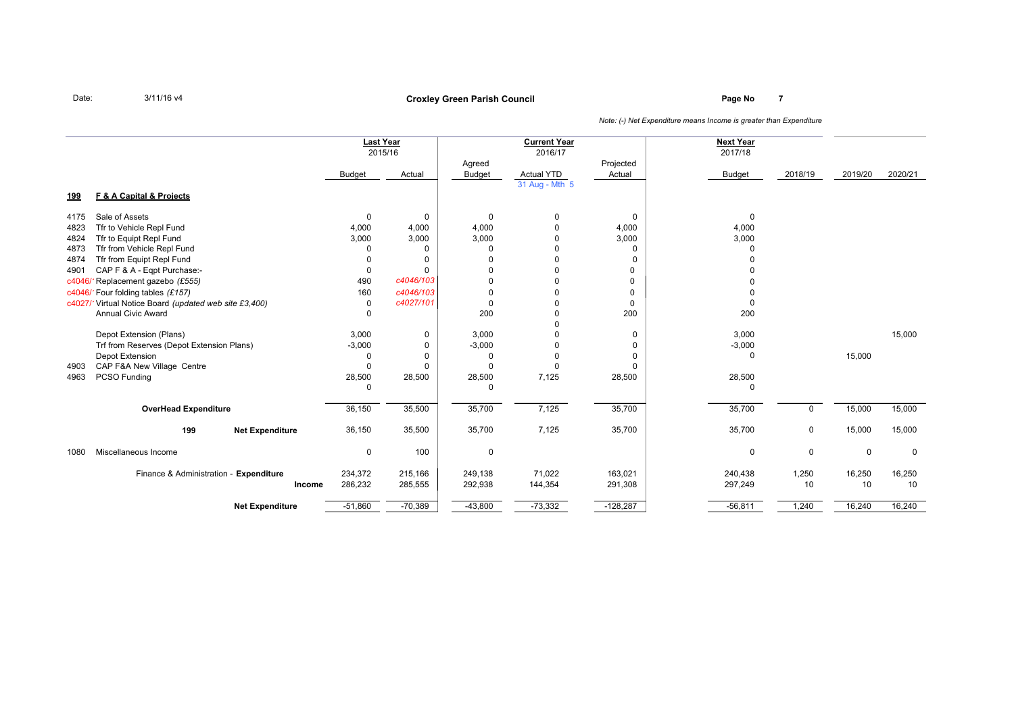# **Page No <sup>7</sup> Croxley Green Parish Council**

|            |                                                       |               | <b>Last Year</b><br>2015/16 |               | <b>Current Year</b><br>2016/17 |             | <b>Next Year</b><br>2017/18 |         |             |             |
|------------|-------------------------------------------------------|---------------|-----------------------------|---------------|--------------------------------|-------------|-----------------------------|---------|-------------|-------------|
|            |                                                       |               |                             | Agreed        |                                | Projected   |                             |         |             |             |
|            |                                                       | <b>Budget</b> | Actual                      | <b>Budget</b> | <b>Actual YTD</b>              | Actual      | <b>Budget</b>               | 2018/19 | 2019/20     | 2020/21     |
|            |                                                       |               |                             |               | 31 Aug - Mth 5                 |             |                             |         |             |             |
| <u>199</u> | F & A Capital & Projects                              |               |                             |               |                                |             |                             |         |             |             |
| 4175       | Sale of Assets                                        | 0             | 0                           | $\Omega$      | 0                              | 0           | $\mathbf 0$                 |         |             |             |
| 4823       | Tfr to Vehicle Repl Fund                              | 4,000         | 4,000                       | 4,000         | $\Omega$                       | 4,000       | 4,000                       |         |             |             |
| 4824       | Tfr to Equipt Repl Fund                               | 3,000         | 3,000                       | 3,000         | 0                              | 3,000       | 3,000                       |         |             |             |
| 4873       | Tfr from Vehicle Repl Fund                            | $\Omega$      | 0                           | $\Omega$      | $\Omega$                       | 0           | $\Omega$                    |         |             |             |
| 4874       | Tfr from Equipt Repl Fund                             | $\Omega$      | 0                           | $\Omega$      | $\Omega$                       | 0           |                             |         |             |             |
| 4901       | CAP F & A - Eqpt Purchase:-                           | 0             | 0                           | $\Omega$      | $\Omega$                       | 0           |                             |         |             |             |
| c4046/     | Replacement gazebo (£555)                             | 490           | c4046/103                   | $\Omega$      | $\Omega$                       | $\Omega$    |                             |         |             |             |
| c4046/     | 1Four folding tables (£157)                           | 160           | c4046/103                   | 0             |                                | 0           |                             |         |             |             |
|            | c4027/1Virtual Notice Board (updated web site £3,400) | 0             | c4027/101                   | $\Omega$      | $\Omega$                       | $\mathbf 0$ |                             |         |             |             |
|            | <b>Annual Civic Award</b>                             | 0             |                             | 200           | $\Omega$                       | 200         | 200                         |         |             |             |
|            |                                                       |               |                             |               |                                |             |                             |         |             |             |
|            | Depot Extension (Plans)                               | 3,000         | 0                           | 3,000         | $\Omega$                       | 0           | 3,000                       |         |             | 15,000      |
|            | Trf from Reserves (Depot Extension Plans)             | $-3,000$      | 0                           | $-3,000$      | 0                              | 0           | $-3,000$                    |         |             |             |
|            | Depot Extension                                       | $\Omega$      | 0                           | $\Omega$      | 0                              | $\Omega$    | $\mathbf 0$                 |         | 15,000      |             |
| 4903       | CAP F&A New Village Centre                            | 0             | 0                           | $\Omega$      | 0                              | $\Omega$    |                             |         |             |             |
| 4963       | PCSO Funding                                          | 28,500        | 28,500                      | 28,500        | 7,125                          | 28,500      | 28,500                      |         |             |             |
|            |                                                       | $\Omega$      |                             | $\Omega$      |                                |             | $\Omega$                    |         |             |             |
|            | <b>OverHead Expenditure</b>                           | 36,150        | 35,500                      | 35,700        | 7,125                          | 35,700      | 35,700                      | 0       | 15,000      | 15,000      |
|            | 199<br><b>Net Expenditure</b>                         | 36,150        | 35,500                      | 35,700        | 7,125                          | 35,700      | 35,700                      | 0       | 15,000      | 15,000      |
| 1080       | Miscellaneous Income                                  | 0             | 100                         | 0             |                                |             | $\mathbf 0$                 | 0       | $\mathbf 0$ | $\mathbf 0$ |
|            | Finance & Administration - Expenditure                | 234,372       | 215,166                     | 249,138       | 71,022                         | 163,021     | 240,438                     | 1,250   | 16,250      | 16,250      |
|            | Income                                                | 286,232       | 285,555                     | 292,938       | 144,354                        | 291,308     | 297,249                     | 10      | 10          | 10          |
|            | <b>Net Expenditure</b>                                | $-51,860$     | $-70,389$                   | $-43,800$     | $-73,332$                      | $-128,287$  | $-56,811$                   | 1,240   | 16,240      | 16,240      |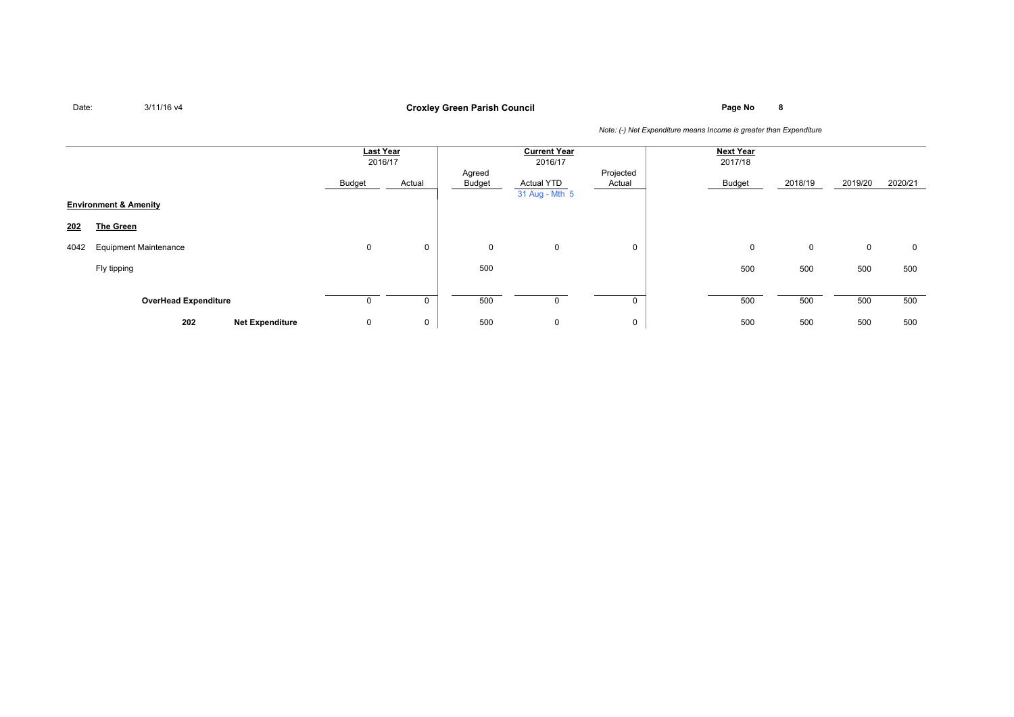# **Page No <sup>8</sup> Croxley Green Parish Council**

|      |                                  | <b>Last Year</b><br>2016/17 |        |                  | <b>Current Year</b><br>2016/17      |                     | <b>Next Year</b><br>2017/18 |         |             |         |
|------|----------------------------------|-----------------------------|--------|------------------|-------------------------------------|---------------------|-----------------------------|---------|-------------|---------|
|      |                                  | Budget                      | Actual | Agreed<br>Budget | <b>Actual YTD</b><br>31 Aug - Mth 5 | Projected<br>Actual | Budget                      | 2018/19 | 2019/20     | 2020/21 |
|      | <b>Environment &amp; Amenity</b> |                             |        |                  |                                     |                     |                             |         |             |         |
| 202  | The Green                        |                             |        |                  |                                     |                     |                             |         |             |         |
| 4042 | <b>Equipment Maintenance</b>     | 0                           | 0      | 0                | $\mathbf 0$                         | $\mathbf 0$         | 0                           | 0       | $\mathbf 0$ | 0       |
|      | Fly tipping                      |                             |        | 500              |                                     |                     | 500                         | 500     | 500         | 500     |
|      |                                  |                             |        |                  |                                     |                     |                             |         |             |         |
|      | <b>OverHead Expenditure</b>      |                             | 0      | 500              | $\Omega$                            |                     | 500                         | 500     | 500         | 500     |
|      | 202<br><b>Net Expenditure</b>    | 0                           | 0      | 500              | $\mathbf 0$                         | 0                   | 500                         | 500     | 500         | 500     |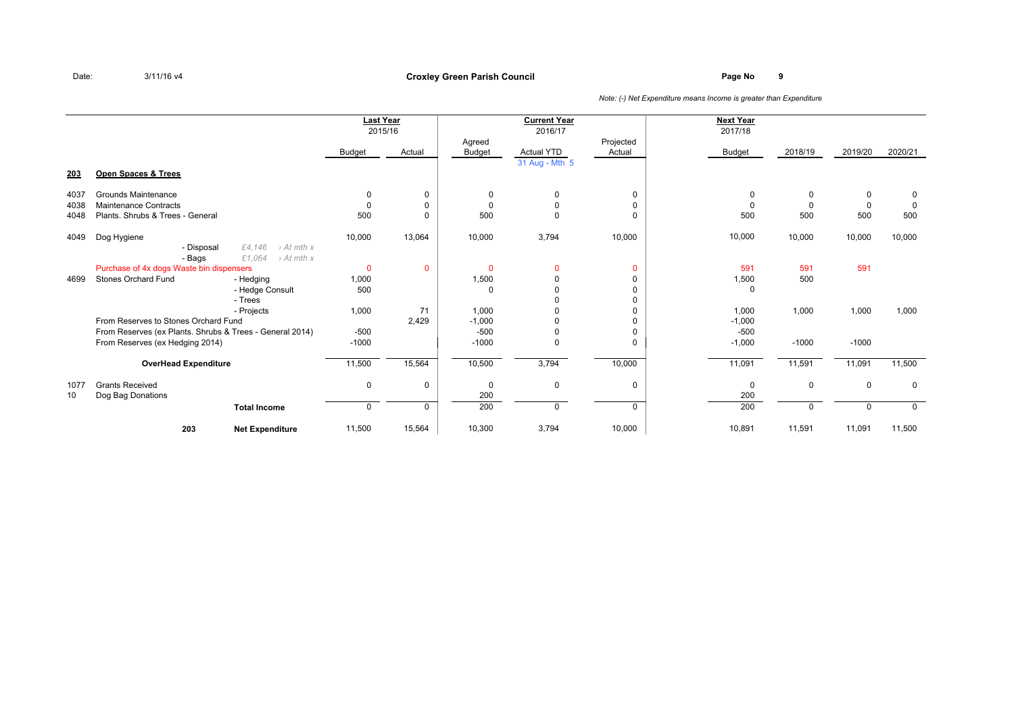### **Page No <sup>9</sup> Croxley Green Parish Council**

|      |                                                                                              |               | Last Year<br>2015/16 |                  | <b>Current Year</b><br>2016/17 |                     | <b>Next Year</b><br>2017/18 |             |             |             |
|------|----------------------------------------------------------------------------------------------|---------------|----------------------|------------------|--------------------------------|---------------------|-----------------------------|-------------|-------------|-------------|
|      |                                                                                              | <b>Budget</b> | Actual               | Agreed<br>Budget | <b>Actual YTD</b>              | Projected<br>Actual | <b>Budget</b>               | 2018/19     | 2019/20     | 2020/21     |
|      |                                                                                              |               |                      |                  | 31 Aug - Mth 5                 |                     |                             |             |             |             |
| 203  | Open Spaces & Trees                                                                          |               |                      |                  |                                |                     |                             |             |             |             |
| 4037 | Grounds Maintenance                                                                          | 0             | 0                    | $\Omega$         | $\Omega$                       | 0                   | $\Omega$                    | 0           | 0           | 0           |
| 4038 | Maintenance Contracts                                                                        | 0             | 0                    | $\Omega$         | 0                              | 0                   | $\Omega$                    | $\mathbf 0$ | 0           | $\Omega$    |
| 4048 | Plants, Shrubs & Trees - General                                                             | 500           | 0                    | 500              | $\Omega$                       | $\Omega$            | 500                         | 500         | 500         | 500         |
| 4049 | Dog Hygiene                                                                                  | 10,000        | 13,064               | 10,000           | 3,794                          | 10,000              | 10,000                      | 10,000      | 10,000      | 10,000      |
|      | £4.146<br>$\rightarrow$ At mth x<br>- Disposal<br>£1,064<br>$\rightarrow$ At mth x<br>- Bags |               |                      |                  |                                |                     |                             |             |             |             |
|      | Purchase of 4x dogs Waste bin dispensers                                                     | $\mathbf{0}$  | $\mathbf{0}$         | $\Omega$         | $\Omega$                       | $\Omega$            | 591                         | 591         | 591         |             |
| 4699 | <b>Stones Orchard Fund</b><br>- Hedging                                                      | 1,000         |                      | 1,500            | $\Omega$                       | <sup>0</sup>        | 1,500                       | 500         |             |             |
|      | - Hedge Consult                                                                              | 500           |                      | $\Omega$         | $\Omega$                       | <sup>0</sup>        | $\Omega$                    |             |             |             |
|      | - Trees                                                                                      |               |                      |                  |                                |                     |                             |             |             |             |
|      | - Projects                                                                                   | 1,000         | 71                   | 1,000            |                                | 0                   | 1,000                       | 1,000       | 1,000       | 1,000       |
|      | From Reserves to Stones Orchard Fund                                                         |               | 2,429                | $-1,000$         | ŋ                              | <sup>0</sup>        | $-1,000$                    |             |             |             |
|      | From Reserves (ex Plants. Shrubs & Trees - General 2014)                                     | $-500$        |                      | $-500$           | 0                              | $\Omega$            | $-500$                      |             |             |             |
|      | From Reserves (ex Hedging 2014)                                                              | $-1000$       |                      | $-1000$          | $\Omega$                       | $\Omega$            | $-1,000$                    | $-1000$     | $-1000$     |             |
|      | <b>OverHead Expenditure</b>                                                                  | 11,500        | 15,564               | 10,500           | 3,794                          | 10,000              | 11,091                      | 11,591      | 11,091      | 11,500      |
| 1077 | <b>Grants Received</b>                                                                       | 0             | 0                    | 0                | 0                              | 0                   | $\mathbf 0$                 | 0           | $\mathbf 0$ | 0           |
| 10   | Dog Bag Donations                                                                            |               |                      | 200              |                                |                     | 200                         |             |             |             |
|      | <b>Total Income</b>                                                                          | 0             | $\mathbf 0$          | 200              | $\Omega$                       | 0                   | 200                         | $\Omega$    | $\Omega$    | $\mathbf 0$ |
|      | 203<br><b>Net Expenditure</b>                                                                | 11,500        | 15,564               | 10,300           | 3,794                          | 10,000              | 10,891                      | 11,591      | 11,091      | 11,500      |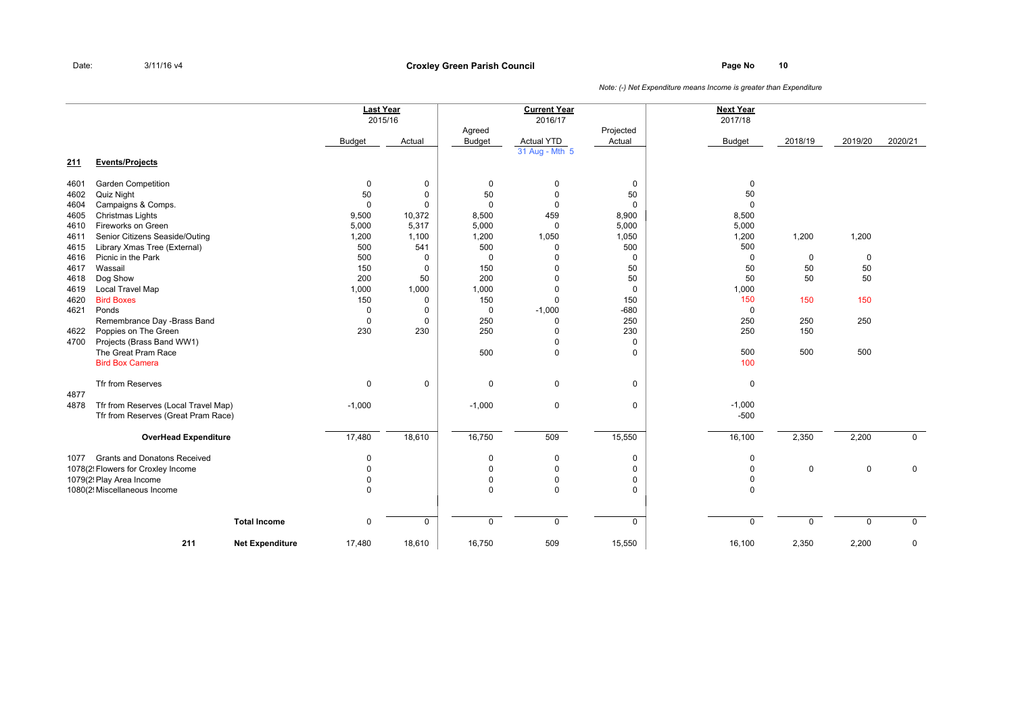### **Page No <sup>10</sup> Croxley Green Parish Council**

|      |                                      |                        |               | <b>Last Year</b><br>2015/16 |                         | <b>Current Year</b><br>2016/17 |                     | <b>Next Year</b><br>2017/18 |             |             |             |
|------|--------------------------------------|------------------------|---------------|-----------------------------|-------------------------|--------------------------------|---------------------|-----------------------------|-------------|-------------|-------------|
|      |                                      |                        | <b>Budget</b> | Actual                      | Agreed<br><b>Budget</b> | <b>Actual YTD</b>              | Projected<br>Actual | Budget                      | 2018/19     | 2019/20     | 2020/21     |
| 211  | <b>Events/Projects</b>               |                        |               |                             |                         | 31 Aug - Mth 5                 |                     |                             |             |             |             |
| 4601 | <b>Garden Competition</b>            |                        | $\mathbf 0$   | $\mathbf 0$                 | $\mathbf 0$             | $\mathbf 0$                    | $\mathbf 0$         | $\pmb{0}$                   |             |             |             |
| 4602 | <b>Quiz Night</b>                    |                        | 50            | 0                           | 50                      | $\mathbf 0$                    | 50                  | 50                          |             |             |             |
| 4604 | Campaigns & Comps.                   |                        | $\mathbf 0$   | $\mathbf 0$                 | $\mathbf 0$             | $\mathbf 0$                    | $\mathbf 0$         | $\Omega$                    |             |             |             |
| 4605 | Christmas Lights                     |                        | 9,500         | 10,372                      | 8,500                   | 459                            | 8,900               | 8,500                       |             |             |             |
| 4610 | Fireworks on Green                   |                        | 5,000         | 5,317                       | 5,000                   | $\mathbf 0$                    | 5,000               | 5,000                       |             |             |             |
| 4611 | Senior Citizens Seaside/Outing       |                        | 1,200         | 1,100                       | 1,200                   | 1,050                          | 1,050               | 1,200                       | 1,200       | 1,200       |             |
| 4615 | Library Xmas Tree (External)         |                        | 500           | 541                         | 500                     | $\Omega$                       | 500                 | 500                         |             |             |             |
| 4616 | Picnic in the Park                   |                        | 500           | 0                           | 0                       | 0                              | 0                   | $\mathbf 0$                 | $\mathbf 0$ | 0           |             |
| 4617 | Wassail                              |                        | 150           | $\mathbf 0$                 | 150                     | $\mathbf 0$                    | 50                  | 50                          | 50          | 50          |             |
| 4618 | Dog Show                             |                        | 200           | 50                          | 200                     | $\mathbf 0$                    | 50                  | 50                          | 50          | 50          |             |
| 4619 | <b>Local Travel Map</b>              |                        | 1,000         | 1,000                       | 1,000                   | $\mathbf 0$                    | $\mathbf 0$         | 1,000                       |             |             |             |
| 4620 | <b>Bird Boxes</b>                    |                        | 150           | 0                           | 150                     | $\Omega$                       | 150                 | 150                         | 150         | 150         |             |
| 4621 | Ponds                                |                        | $\mathbf 0$   | 0                           | $\mathbf 0$             | $-1,000$                       | $-680$              | $\mathbf 0$                 |             |             |             |
|      | Remembrance Day -Brass Band          |                        | $\mathbf 0$   | 0                           | 250                     | $\mathbf 0$                    | 250                 | 250                         | 250         | 250         |             |
| 4622 | Poppies on The Green                 |                        | 230           | 230                         | 250                     | $\mathbf 0$                    | 230                 | 250                         | 150         |             |             |
| 4700 | Projects (Brass Band WW1)            |                        |               |                             |                         | $\mathbf 0$                    | $\mathbf 0$         |                             |             |             |             |
|      | The Great Pram Race                  |                        |               |                             | 500                     | $\mathbf 0$                    | 0                   | 500                         | 500         | 500         |             |
|      | <b>Bird Box Camera</b>               |                        |               |                             |                         |                                |                     | 100                         |             |             |             |
| 4877 | Tfr from Reserves                    |                        | $\mathbf 0$   | $\mathbf 0$                 | 0                       | $\mathbf 0$                    | 0                   | $\mathbf 0$                 |             |             |             |
| 4878 | Tfr from Reserves (Local Travel Map) |                        | $-1,000$      |                             | $-1,000$                | $\mathbf 0$                    | 0                   | $-1,000$                    |             |             |             |
|      | Tfr from Reserves (Great Pram Race)  |                        |               |                             |                         |                                |                     | $-500$                      |             |             |             |
|      | <b>OverHead Expenditure</b>          |                        | 17,480        | 18,610                      | 16,750                  | 509                            | 15,550              | 16,100                      | 2,350       | 2,200       | $\mathbf 0$ |
| 1077 | <b>Grants and Donatons Received</b>  |                        | 0             |                             | 0                       | $\mathbf 0$                    | 0                   | 0                           |             |             |             |
|      | 1078(2! Flowers for Croxley Income   |                        | $\Omega$      |                             | $\mathbf 0$             | $\mathbf 0$                    | 0                   | $\mathbf 0$                 | $\mathbf 0$ | $\mathbf 0$ | $\mathbf 0$ |
|      | 1079(2! Play Area Income             |                        | $\mathbf 0$   |                             | $\mathbf 0$             | $\mathbf 0$                    | 0                   | $\mathbf 0$                 |             |             |             |
|      | 1080(2! Miscellaneous Income         |                        | $\mathbf 0$   |                             | 0                       | $\mathbf 0$                    | 0                   | $\Omega$                    |             |             |             |
|      |                                      |                        |               |                             |                         |                                |                     |                             |             |             |             |
|      |                                      | <b>Total Income</b>    | 0             | $\mathsf 0$                 | $\mathbf 0$             | $\mathbf 0$                    | $\mathbf 0$         | $\mathsf 0$                 | $\mathbf 0$ | $\mathbf 0$ | $\mathbf 0$ |
|      | 211                                  | <b>Net Expenditure</b> | 17,480        | 18,610                      | 16,750                  | 509                            | 15,550              | 16,100                      | 2,350       | 2,200       | $\mathbf 0$ |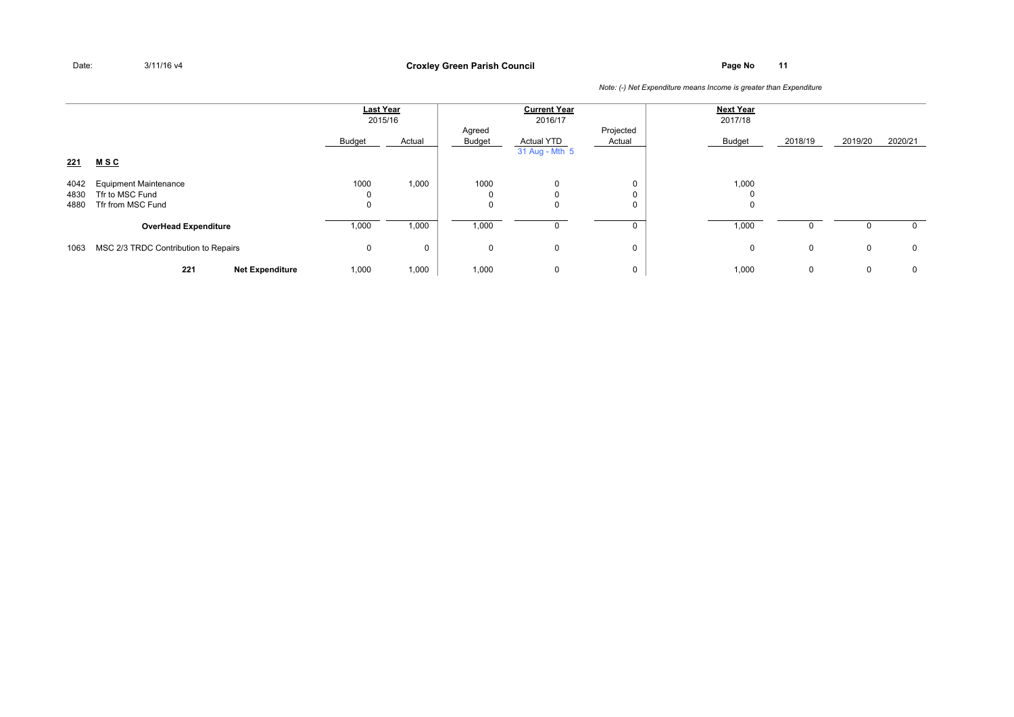### **Page No <sup>11</sup> Croxley Green Parish Council**

|              |                                      | <b>Last Year</b> | 2015/16  |                  | <b>Current Year</b><br>2016/17      |                     | <b>Next Year</b><br>2017/18 |              |             |             |
|--------------|--------------------------------------|------------------|----------|------------------|-------------------------------------|---------------------|-----------------------------|--------------|-------------|-------------|
|              |                                      | Budget           | Actual   | Agreed<br>Budget | <b>Actual YTD</b><br>31 Aug - Mth 5 | Projected<br>Actual | <b>Budget</b>               | 2018/19      | 2019/20     | 2020/21     |
| 221          | <u>MSC</u>                           |                  |          |                  |                                     |                     |                             |              |             |             |
| 4042         | <b>Equipment Maintenance</b>         | 1000             | 1,000    | 1000             | $\Omega$                            | 0                   | 1,000                       |              |             |             |
| 4830<br>4880 | Tfr to MSC Fund<br>Tfr from MSC Fund | 0<br>0           |          | 0<br>$\Omega$    | 0                                   | 0<br>0              | $\Omega$<br>0               |              |             |             |
|              | <b>OverHead Expenditure</b>          | 1,000            | 1,000    | 1,000            |                                     |                     | 1,000                       | <sup>0</sup> | 0           | $\mathbf 0$ |
| 1063         | MSC 2/3 TRDC Contribution to Repairs | 0                | $\Omega$ | 0                | $\mathbf 0$                         | 0                   | 0                           | $\mathbf 0$  | 0           | $\mathbf 0$ |
|              | 221<br><b>Net Expenditure</b>        | 1,000            | 1,000    | 1,000            | 0                                   | 0                   | 1,000                       | $\mathbf 0$  | $\mathbf 0$ | $\mathbf 0$ |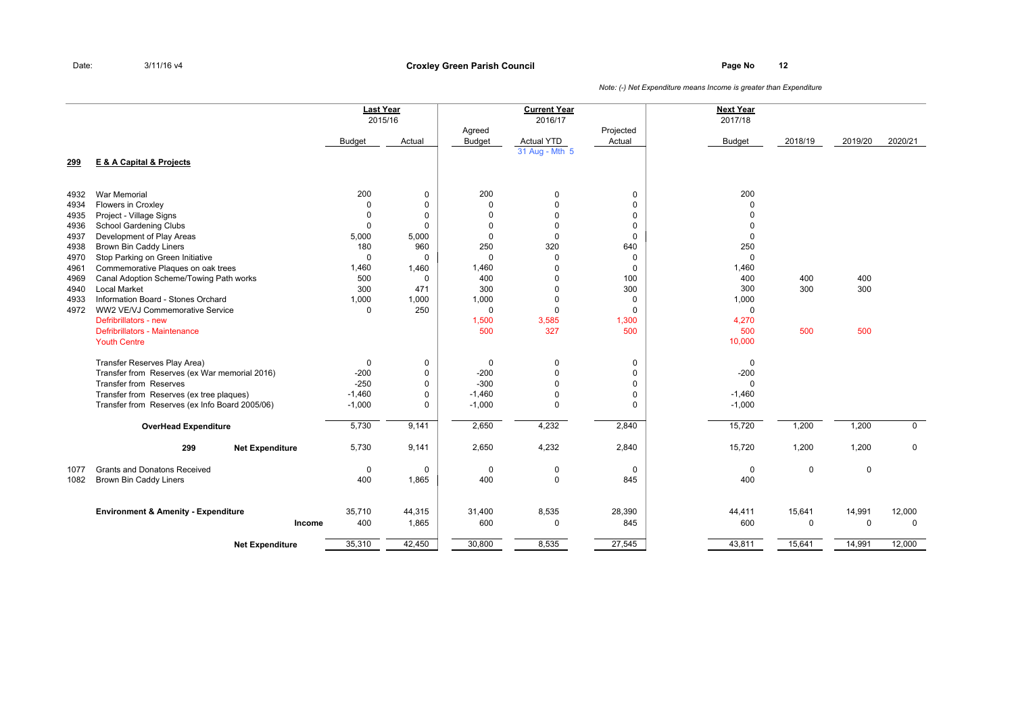### **Page No <sup>12</sup> Croxley Green Parish Council**

|              |                                                |                 | <b>Last Year</b><br>2015/16 |                         | <b>Current Year</b><br>2016/17 |                     | <b>Next Year</b><br>2017/18 |             |             |                |
|--------------|------------------------------------------------|-----------------|-----------------------------|-------------------------|--------------------------------|---------------------|-----------------------------|-------------|-------------|----------------|
|              |                                                | <b>Budget</b>   | Actual                      | Agreed<br><b>Budget</b> | <b>Actual YTD</b>              | Projected<br>Actual | <b>Budget</b>               | 2018/19     | 2019/20     | 2020/21        |
| 299          | <b>E &amp; A Capital &amp; Projects</b>        |                 |                             |                         | 31 Aug - Mth 5                 |                     |                             |             |             |                |
|              |                                                |                 |                             |                         |                                |                     |                             |             |             |                |
| 4932         | <b>War Memorial</b><br>Flowers in Croxley      | 200<br>$\Omega$ | 0<br>$\mathbf 0$            | 200<br>$\Omega$         | 0<br>$\Omega$                  | 0<br>$\mathbf 0$    | 200<br>$\Omega$             |             |             |                |
| 4934<br>4935 | Project - Village Signs                        | $\Omega$        | $\mathbf 0$                 | $\Omega$                | $\mathbf 0$                    | $\mathbf 0$         | $\Omega$                    |             |             |                |
| 4936         | School Gardening Clubs                         | 0               | $\mathbf 0$                 | $\Omega$                | $\mathbf 0$                    | 0                   | $\Omega$                    |             |             |                |
| 4937         | Development of Play Areas                      | 5,000           | 5,000                       | $\Omega$                | $\mathbf 0$                    | $\Omega$            | $\mathbf 0$                 |             |             |                |
| 4938         | <b>Brown Bin Caddy Liners</b>                  | 180             | 960                         | 250                     | 320                            | 640                 | 250                         |             |             |                |
| 4970         | Stop Parking on Green Initiative               | $\mathbf 0$     | $\mathbf 0$                 | $\Omega$                | $\mathbf 0$                    | 0                   | $\mathbf 0$                 |             |             |                |
| 4961         | Commemorative Plaques on oak trees             | 1,460           | 1,460                       | 1,460                   | $\overline{0}$                 | $\mathbf 0$         | 1,460                       |             |             |                |
| 4969         | Canal Adoption Scheme/Towing Path works        | 500             | 0                           | 400                     | $\mathbf 0$                    | 100                 | 400                         | 400         | 400         |                |
| 4940         | <b>Local Market</b>                            | 300             | 471                         | 300                     | $\mathbf 0$                    | 300                 | 300                         | 300         | 300         |                |
| 4933         | Information Board - Stones Orchard             | 1,000           | 1,000                       | 1,000                   | $\mathbf 0$                    | 0                   | 1,000                       |             |             |                |
| 4972         | WW2 VE/VJ Commemorative Service                | 0               | 250                         | 0                       | $\mathbf 0$                    | $\mathbf 0$         | 0                           |             |             |                |
|              | Defribrillators - new                          |                 |                             | 1,500                   | 3,585                          | 1,300               | 4,270                       |             |             |                |
|              | Defribrillators - Maintenance                  |                 |                             | 500                     | 327                            | 500                 | 500                         | 500         | 500         |                |
|              | <b>Youth Centre</b>                            |                 |                             |                         |                                |                     | 10,000                      |             |             |                |
|              | Transfer Reserves Play Area)                   | 0               | 0                           | 0                       | 0                              | 0                   | 0                           |             |             |                |
|              | Transfer from Reserves (ex War memorial 2016)  | $-200$          | $\mathbf 0$                 | $-200$                  | $\theta$                       | $\mathbf 0$         | $-200$                      |             |             |                |
|              | <b>Transfer from Reserves</b>                  | $-250$          | $\mathbf 0$                 | $-300$                  | $\mathbf 0$                    | 0                   | $\Omega$                    |             |             |                |
|              | Transfer from Reserves (ex tree plaques)       | $-1,460$        | $\mathbf 0$                 | $-1,460$                | $\mathbf 0$                    | 0                   | $-1,460$                    |             |             |                |
|              | Transfer from Reserves (ex Info Board 2005/06) | $-1,000$        | 0                           | $-1,000$                | $\Omega$                       | $\Omega$            | $-1,000$                    |             |             |                |
|              |                                                |                 |                             |                         |                                |                     |                             |             |             |                |
|              | <b>OverHead Expenditure</b>                    | 5,730           | 9,141                       | 2,650                   | 4,232                          | 2,840               | 15,720                      | 1,200       | 1,200       | $\overline{0}$ |
|              | 299<br><b>Net Expenditure</b>                  | 5,730           | 9,141                       | 2,650                   | 4,232                          | 2,840               | 15,720                      | 1,200       | 1,200       | $\mathbf 0$    |
| 1077         | <b>Grants and Donatons Received</b>            | 0               | 0                           | 0                       | 0                              | 0                   | 0                           | 0           | $\mathbf 0$ |                |
| 1082         | Brown Bin Caddy Liners                         | 400             | 1,865                       | 400                     | $\mathbf 0$                    | 845                 | 400                         |             |             |                |
|              | <b>Environment &amp; Amenity - Expenditure</b> | 35,710          | 44,315                      | 31,400                  | 8,535                          | 28,390              | 44,411                      | 15,641      | 14,991      | 12,000         |
|              | Income                                         | 400             | 1,865                       | 600                     | 0                              | 845                 | 600                         | $\mathbf 0$ | $\mathbf 0$ | $\mathbf 0$    |
|              |                                                |                 |                             |                         |                                |                     |                             |             |             |                |
|              | <b>Net Expenditure</b>                         | 35,310          | 42,450                      | 30,800                  | 8,535                          | 27,545              | 43,811                      | 15,641      | 14,991      | 12,000         |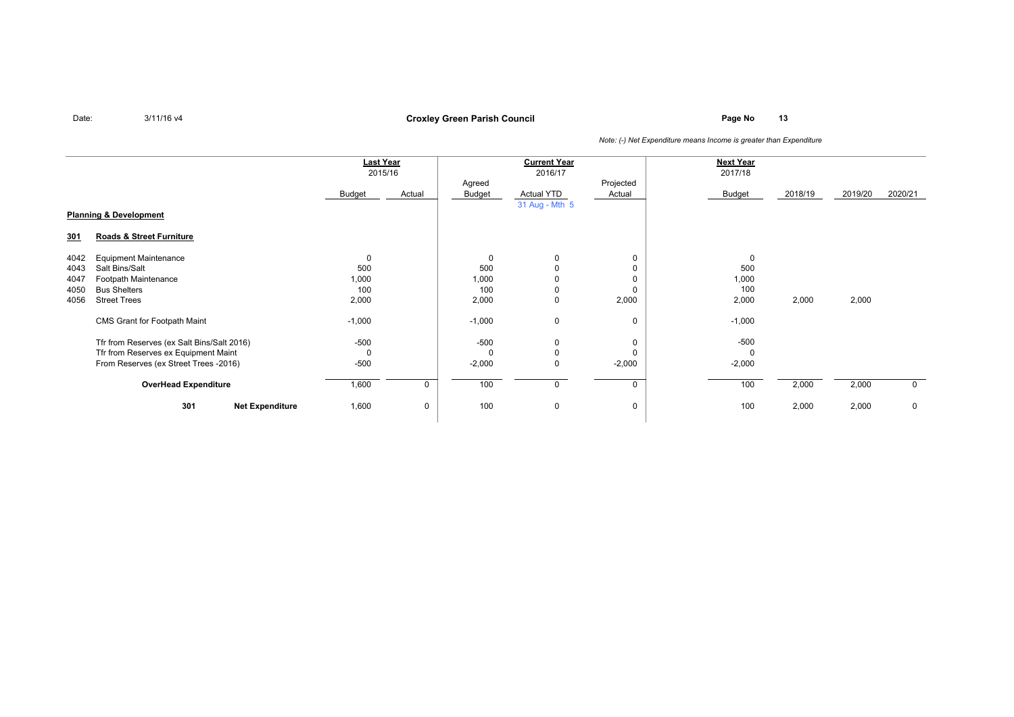**Page No <sup>13</sup> Croxley Green Parish Council**

|                                   |                                            | <b>Last Year</b><br>2015/16 |        | <b>Current Year</b><br>2016/17 |                |          | <b>Next Year</b><br>2017/18 |         |         |             |
|-----------------------------------|--------------------------------------------|-----------------------------|--------|--------------------------------|----------------|----------|-----------------------------|---------|---------|-------------|
|                                   |                                            |                             |        | Projected<br>Agreed            |                |          |                             |         |         |             |
|                                   |                                            | Budget                      | Actual | Budget                         | Actual YTD     | Actual   | Budget                      | 2018/19 | 2019/20 | 2020/21     |
|                                   |                                            |                             |        |                                | 31 Aug - Mth 5 |          |                             |         |         |             |
| <b>Planning &amp; Development</b> |                                            |                             |        |                                |                |          |                             |         |         |             |
| <u>301</u>                        | Roads & Street Furniture                   |                             |        |                                |                |          |                             |         |         |             |
| 4042                              | <b>Equipment Maintenance</b>               | 0                           |        | 0                              | 0              | 0        | 0                           |         |         |             |
| 4043                              | Salt Bins/Salt                             | 500                         |        | 500                            |                |          | 500                         |         |         |             |
| 4047                              | Footpath Maintenance                       | 1,000                       |        | 1,000                          |                |          | 1,000                       |         |         |             |
| 4050                              | <b>Bus Shelters</b>                        | 100                         |        | 100                            | 0              |          | 100                         |         |         |             |
| 4056                              | <b>Street Trees</b>                        | 2,000                       |        | 2,000                          | 0              | 2,000    | 2,000                       | 2,000   | 2,000   |             |
|                                   | CMS Grant for Footpath Maint               | $-1,000$                    |        | $-1,000$                       | $\mathbf 0$    | 0        | $-1,000$                    |         |         |             |
|                                   | Tfr from Reserves (ex Salt Bins/Salt 2016) | $-500$                      |        | -500                           | 0              | 0        | $-500$                      |         |         |             |
|                                   | Tfr from Reserves ex Equipment Maint       | 0                           |        | $\Omega$                       | 0              |          |                             |         |         |             |
|                                   | From Reserves (ex Street Trees -2016)      | $-500$                      |        | $-2,000$                       | $\mathbf 0$    | $-2,000$ | $-2,000$                    |         |         |             |
|                                   | <b>OverHead Expenditure</b>                | 1,600                       | 0      | 100                            | 0              | 0        | 100                         | 2,000   | 2,000   | $\mathbf 0$ |
|                                   | 301<br><b>Net Expenditure</b>              | 1,600                       | 0      | 100                            | $\mathbf 0$    | 0        | 100                         | 2,000   | 2,000   | $\mathbf 0$ |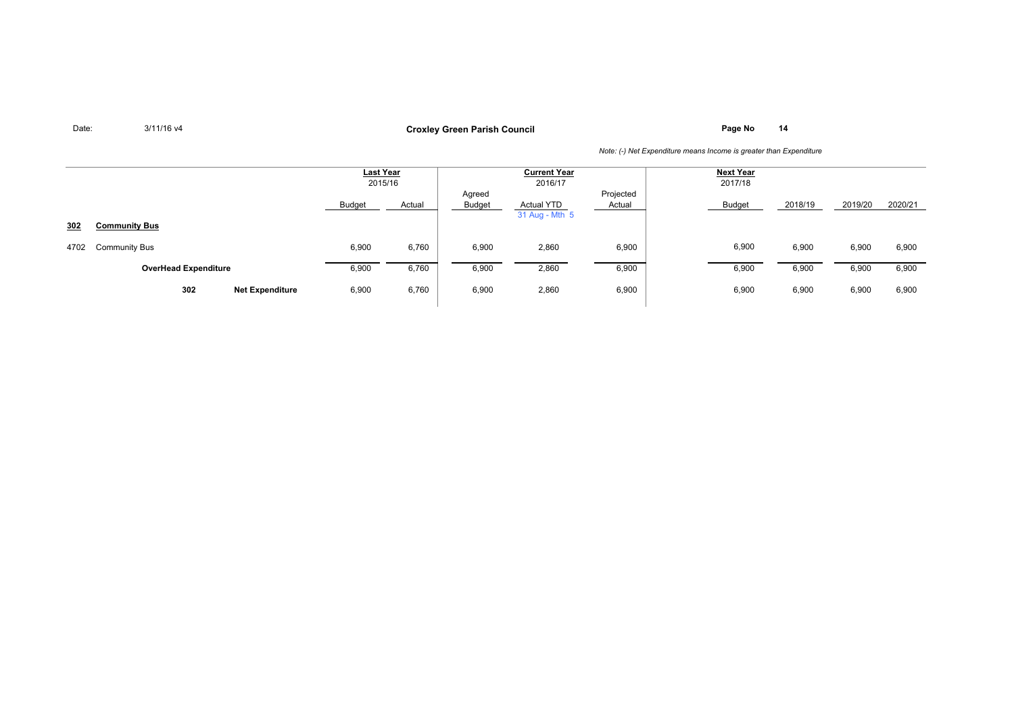**Page No <sup>14</sup> Croxley Green Parish Council**

|      |                               |        | Last Year<br>2015/16 |                         | <b>Current Year</b><br>2016/17      | <b>Next Year</b><br>2017/18 |        |         |         |         |
|------|-------------------------------|--------|----------------------|-------------------------|-------------------------------------|-----------------------------|--------|---------|---------|---------|
|      |                               | Budget | Actual               | Agreed<br><b>Budget</b> | <b>Actual YTD</b><br>31 Aug - Mth 5 | Projected<br>Actual         | Budget | 2018/19 | 2019/20 | 2020/21 |
| 302  | <b>Community Bus</b>          |        |                      |                         |                                     |                             |        |         |         |         |
| 4702 | <b>Community Bus</b>          | 6,900  | 6,760                | 6,900                   | 2,860                               | 6,900                       | 6,900  | 6,900   | 6,900   | 6,900   |
|      | <b>OverHead Expenditure</b>   | 6,900  | 6,760                | 6,900                   | 2,860                               | 6,900                       | 6,900  | 6,900   | 6,900   | 6,900   |
|      | 302<br><b>Net Expenditure</b> | 6,900  | 6,760                | 6,900                   | 2,860                               | 6,900                       | 6,900  | 6,900   | 6,900   | 6,900   |